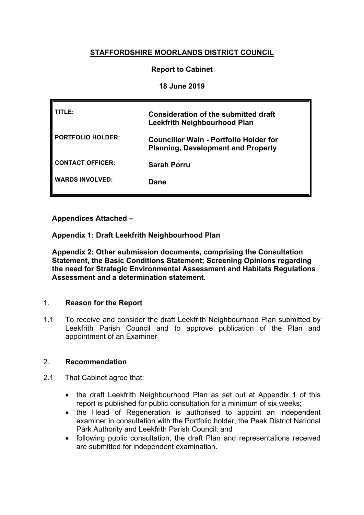# **STAFFORDSHIRE MOORLANDS DISTRICT COUNCIL**

# **Report to Cabinet**

## **18 June 2019**

| TITLE:                   | Consideration of the submitted draft<br><b>Leekfrith Neighbourhood Plan</b>                |
|--------------------------|--------------------------------------------------------------------------------------------|
| <b>PORTFOLIO HOLDER:</b> | <b>Councillor Wain - Portfolio Holder for</b><br><b>Planning, Development and Property</b> |
| <b>CONTACT OFFICER:</b>  | <b>Sarah Porru</b>                                                                         |
| <b>WARDS INVOLVED:</b>   | Dane                                                                                       |

**Appendices Attached –**

**Appendix 1: Draft Leekfrith Neighbourhood Plan**

**Appendix 2: Other submission documents, comprising the Consultation Statement, the Basic Conditions Statement; Screening Opinions regarding the need for Strategic Environmental Assessment and Habitats Regulations Assessment and a determination statement.**

## 1. **Reason for the Report**

1.1 To receive and consider the draft Leekfrith Neighbourhood Plan submitted by Leekfrith Parish Council and to approve publication of the Plan and appointment of an Examiner.

## 2. **Recommendation**

- 2.1 That Cabinet agree that:
	- the draft Leekfrith Neighbourhood Plan as set out at Appendix 1 of this report is published for public consultation for a minimum of six weeks;
	- the Head of Regeneration is authorised to appoint an independent examiner in consultation with the Portfolio holder, the Peak District National Park Authority and Leekfrith Parish Council; and
	- following public consultation, the draft Plan and representations received are submitted for independent examination.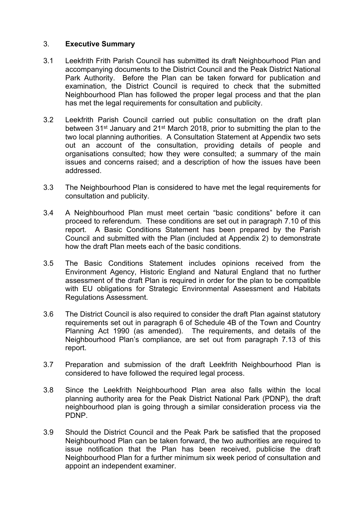# 3. **Executive Summary**

- 3.1 Leekfrith Frith Parish Council has submitted its draft Neighbourhood Plan and accompanying documents to the District Council and the Peak District National Park Authority. Before the Plan can be taken forward for publication and examination, the District Council is required to check that the submitted Neighbourhood Plan has followed the proper legal process and that the plan has met the legal requirements for consultation and publicity.
- 3.2 Leekfrith Parish Council carried out public consultation on the draft plan between 31st January and 21st March 2018, prior to submitting the plan to the two local planning authorities. A Consultation Statement at Appendix two sets out an account of the consultation, providing details of people and organisations consulted; how they were consulted; a summary of the main issues and concerns raised; and a description of how the issues have been addressed.
- 3.3 The Neighbourhood Plan is considered to have met the legal requirements for consultation and publicity.
- 3.4 A Neighbourhood Plan must meet certain "basic conditions" before it can proceed to referendum. These conditions are set out in paragraph 7.10 of this report. A Basic Conditions Statement has been prepared by the Parish Council and submitted with the Plan (included at Appendix 2) to demonstrate how the draft Plan meets each of the basic conditions.
- 3.5 The Basic Conditions Statement includes opinions received from the Environment Agency, Historic England and Natural England that no further assessment of the draft Plan is required in order for the plan to be compatible with EU obligations for Strategic Environmental Assessment and Habitats Regulations Assessment.
- 3.6 The District Council is also required to consider the draft Plan against statutory requirements set out in paragraph 6 of Schedule 4B of the Town and Country Planning Act 1990 (as amended). The requirements, and details of the Neighbourhood Plan's compliance, are set out from paragraph 7.13 of this report.
- 3.7 Preparation and submission of the draft Leekfrith Neighbourhood Plan is considered to have followed the required legal process.
- 3.8 Since the Leekfrith Neighbourhood Plan area also falls within the local planning authority area for the Peak District National Park (PDNP), the draft neighbourhood plan is going through a similar consideration process via the PDNP.
- 3.9 Should the District Council and the Peak Park be satisfied that the proposed Neighbourhood Plan can be taken forward, the two authorities are required to issue notification that the Plan has been received, publicise the draft Neighbourhood Plan for a further minimum six week period of consultation and appoint an independent examiner.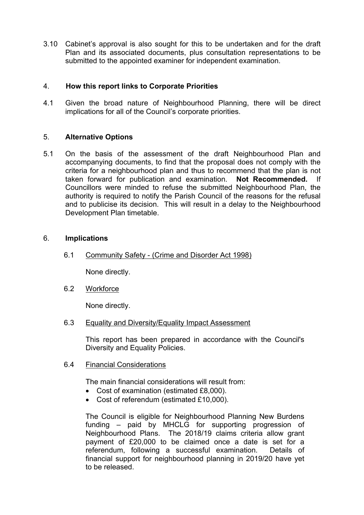3.10 Cabinet's approval is also sought for this to be undertaken and for the draft Plan and its associated documents, plus consultation representations to be submitted to the appointed examiner for independent examination.

# 4. **How this report links to Corporate Priorities**

4.1 Given the broad nature of Neighbourhood Planning, there will be direct implications for all of the Council's corporate priorities.

# 5. **Alternative Options**

5.1 On the basis of the assessment of the draft Neighbourhood Plan and accompanying documents, to find that the proposal does not comply with the criteria for a neighbourhood plan and thus to recommend that the plan is not taken forward for publication and examination. **Not Recommended.** If Councillors were minded to refuse the submitted Neighbourhood Plan, the authority is required to notify the Parish Council of the reasons for the refusal and to publicise its decision. This will result in a delay to the Neighbourhood Development Plan timetable.

### 6. **Implications**

6.1 Community Safety - (Crime and Disorder Act 1998)

None directly.

6.2 Workforce

None directly.

6.3 Equality and Diversity/Equality Impact Assessment

This report has been prepared in accordance with the Council's Diversity and Equality Policies.

6.4 Financial Considerations

The main financial considerations will result from:

- Cost of examination (estimated £8,000).
- Cost of referendum (estimated £10,000).

The Council is eligible for Neighbourhood Planning New Burdens funding – paid by MHCLG for supporting progression of Neighbourhood Plans. The 2018/19 claims criteria allow grant payment of £20,000 to be claimed once a date is set for a referendum, following a successful examination. Details of financial support for neighbourhood planning in 2019/20 have yet to be released.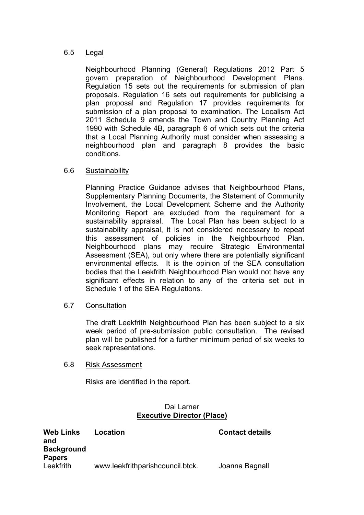## 6.5 Legal

Neighbourhood Planning (General) Regulations 2012 Part 5 govern preparation of Neighbourhood Development Plans. Regulation 15 sets out the requirements for submission of plan proposals. Regulation 16 sets out requirements for publicising a plan proposal and Regulation 17 provides requirements for submission of a plan proposal to examination. The Localism Act 2011 Schedule 9 amends the Town and Country Planning Act 1990 with Schedule 4B, paragraph 6 of which sets out the criteria that a Local Planning Authority must consider when assessing a neighbourhood plan and paragraph 8 provides the basic conditions.

### 6.6 Sustainability

Planning Practice Guidance advises that Neighbourhood Plans, Supplementary Planning Documents, the Statement of Community Involvement, the Local Development Scheme and the Authority Monitoring Report are excluded from the requirement for a sustainability appraisal. The Local Plan has been subject to a sustainability appraisal, it is not considered necessary to repeat this assessment of policies in the Neighbourhood Plan. Neighbourhood plans may require Strategic Environmental Assessment (SEA), but only where there are potentially significant environmental effects. It is the opinion of the SEA consultation bodies that the Leekfrith Neighbourhood Plan would not have any significant effects in relation to any of the criteria set out in Schedule 1 of the SEA Regulations.

### 6.7 Consultation

The draft Leekfrith Neighbourhood Plan has been subject to a six week period of pre-submission public consultation. The revised plan will be published for a further minimum period of six weeks to seek representations.

#### 6.8 Risk Assessment

Risks are identified in the report.

### Dai Larner **Executive Director (Place)**

| <b>Web Links</b><br>and<br><b>Background</b> | Location                         | <b>Contact details</b> |
|----------------------------------------------|----------------------------------|------------------------|
| <b>Papers</b>                                |                                  |                        |
| Leekfrith                                    | www.leekfrithparishcouncil.btck. | Joanna Bagnall         |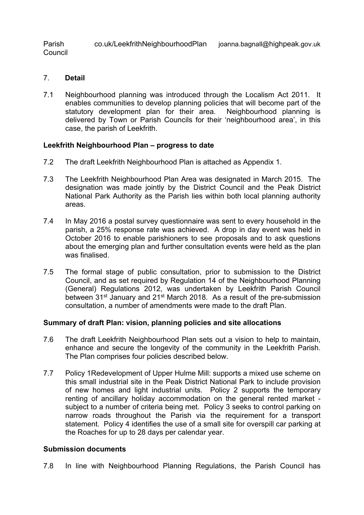Parish Council co.uk/LeekfrithNeighbourhoodPlan joanna.bagnall@highpeak.gov.uk

- 7. **Detail**
- 7.1 Neighbourhood planning was introduced through the Localism Act 2011. It enables communities to develop planning policies that will become part of the statutory development plan for their area. Neighbourhood planning is delivered by Town or Parish Councils for their 'neighbourhood area', in this case, the parish of Leekfrith.

## **Leekfrith Neighbourhood Plan – progress to date**

- 7.2 The draft Leekfrith Neighbourhood Plan is attached as Appendix 1.
- 7.3 The Leekfrith Neighbourhood Plan Area was designated in March 2015. The designation was made jointly by the District Council and the Peak District National Park Authority as the Parish lies within both local planning authority areas.
- 7.4 In May 2016 a postal survey questionnaire was sent to every household in the parish, a 25% response rate was achieved. A drop in day event was held in October 2016 to enable parishioners to see proposals and to ask questions about the emerging plan and further consultation events were held as the plan was finalised.
- 7.5 The formal stage of public consultation, prior to submission to the District Council, and as set required by Regulation 14 of the Neighbourhood Planning (General) Regulations 2012, was undertaken by Leekfrith Parish Council between 31<sup>st</sup> January and 21<sup>st</sup> March 2018. As a result of the pre-submission consultation, a number of amendments were made to the draft Plan.

#### **Summary of draft Plan: vision, planning policies and site allocations**

- 7.6 The draft Leekfrith Neighbourhood Plan sets out a vision to help to maintain, enhance and secure the longevity of the community in the Leekfrith Parish. The Plan comprises four policies described below.
- 7.7 Policy 1Redevelopment of Upper Hulme Mill: supports a mixed use scheme on this small industrial site in the Peak District National Park to include provision of new homes and light industrial units. Policy 2 supports the temporary renting of ancillary holiday accommodation on the general rented market subject to a number of criteria being met. Policy 3 seeks to control parking on narrow roads throughout the Parish via the requirement for a transport statement. Policy 4 identifies the use of a small site for overspill car parking at the Roaches for up to 28 days per calendar year.

#### **Submission documents**

7.8 In line with Neighbourhood Planning Regulations, the Parish Council has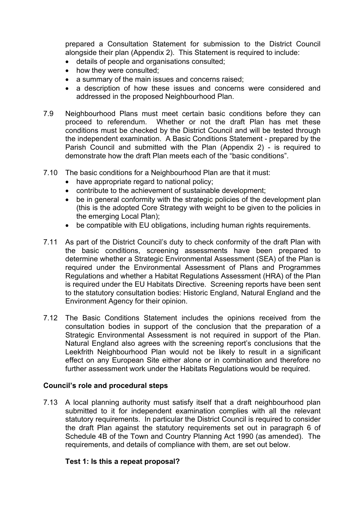prepared a Consultation Statement for submission to the District Council alongside their plan (Appendix 2). This Statement is required to include:

- details of people and organisations consulted;
- how they were consulted;
- a summary of the main issues and concerns raised:
- a description of how these issues and concerns were considered and addressed in the proposed Neighbourhood Plan.
- 7.9 Neighbourhood Plans must meet certain basic conditions before they can proceed to referendum. Whether or not the draft Plan has met these conditions must be checked by the District Council and will be tested through the independent examination. A Basic Conditions Statement - prepared by the Parish Council and submitted with the Plan (Appendix 2) - is required to demonstrate how the draft Plan meets each of the "basic conditions".
- 7.10 The basic conditions for a Neighbourhood Plan are that it must:
	- have appropriate regard to national policy:
	- contribute to the achievement of sustainable development;
	- be in general conformity with the strategic policies of the development plan (this is the adopted Core Strategy with weight to be given to the policies in the emerging Local Plan);
	- be compatible with EU obligations, including human rights requirements.
- 7.11 As part of the District Council's duty to check conformity of the draft Plan with the basic conditions, screening assessments have been prepared to determine whether a Strategic Environmental Assessment (SEA) of the Plan is required under the Environmental Assessment of Plans and Programmes Regulations and whether a Habitat Regulations Assessment (HRA) of the Plan is required under the EU Habitats Directive. Screening reports have been sent to the statutory consultation bodies: Historic England, Natural England and the Environment Agency for their opinion.
- 7.12 The Basic Conditions Statement includes the opinions received from the consultation bodies in support of the conclusion that the preparation of a Strategic Environmental Assessment is not required in support of the Plan. Natural England also agrees with the screening report's conclusions that the Leekfrith Neighbourhood Plan would not be likely to result in a significant effect on any European Site either alone or in combination and therefore no further assessment work under the Habitats Regulations would be required.

## **Council's role and procedural steps**

7.13 A local planning authority must satisfy itself that a draft neighbourhood plan submitted to it for independent examination complies with all the relevant statutory requirements. In particular the District Council is required to consider the draft Plan against the statutory requirements set out in paragraph 6 of Schedule 4B of the Town and Country Planning Act 1990 (as amended). The requirements, and details of compliance with them, are set out below.

## **Test 1: Is this a repeat proposal?**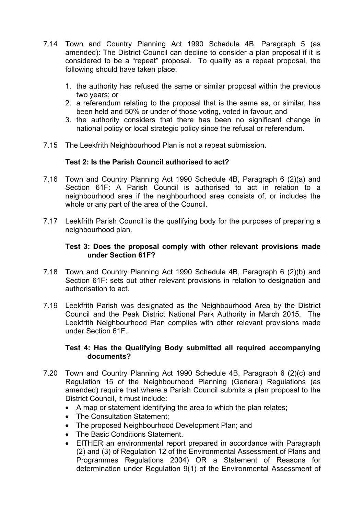- 7.14 Town and Country Planning Act 1990 Schedule 4B, Paragraph 5 (as amended): The District Council can decline to consider a plan proposal if it is considered to be a "repeat" proposal. To qualify as a repeat proposal, the following should have taken place:
	- 1. the authority has refused the same or similar proposal within the previous two years; or
	- 2. a referendum relating to the proposal that is the same as, or similar, has been held and 50% or under of those voting, voted in favour; and
	- 3. the authority considers that there has been no significant change in national policy or local strategic policy since the refusal or referendum.
- 7.15 The Leekfrith Neighbourhood Plan is not a repeat submission**.**

# **Test 2: Is the Parish Council authorised to act?**

- 7.16 Town and Country Planning Act 1990 Schedule 4B, Paragraph 6 (2)(a) and Section 61F: A Parish Council is authorised to act in relation to a neighbourhood area if the neighbourhood area consists of, or includes the whole or any part of the area of the Council.
- 7.17 Leekfrith Parish Council is the qualifying body for the purposes of preparing a neighbourhood plan.

## **Test 3: Does the proposal comply with other relevant provisions made under Section 61F?**

- 7.18 Town and Country Planning Act 1990 Schedule 4B, Paragraph 6 (2)(b) and Section 61F: sets out other relevant provisions in relation to designation and authorisation to act.
- 7.19 Leekfrith Parish was designated as the Neighbourhood Area by the District Council and the Peak District National Park Authority in March 2015. The Leekfrith Neighbourhood Plan complies with other relevant provisions made under Section 61F.

# **Test 4: Has the Qualifying Body submitted all required accompanying documents?**

- 7.20 Town and Country Planning Act 1990 Schedule 4B, Paragraph 6 (2)(c) and Regulation 15 of the Neighbourhood Planning (General) Regulations (as amended) require that where a Parish Council submits a plan proposal to the District Council, it must include:
	- A map or statement identifying the area to which the plan relates;
	- The Consultation Statement;
	- The proposed Neighbourhood Development Plan; and
	- The Basic Conditions Statement.
	- EITHER an environmental report prepared in accordance with Paragraph (2) and (3) of Regulation 12 of the Environmental Assessment of Plans and Programmes Regulations 2004) OR a Statement of Reasons for determination under Regulation 9(1) of the Environmental Assessment of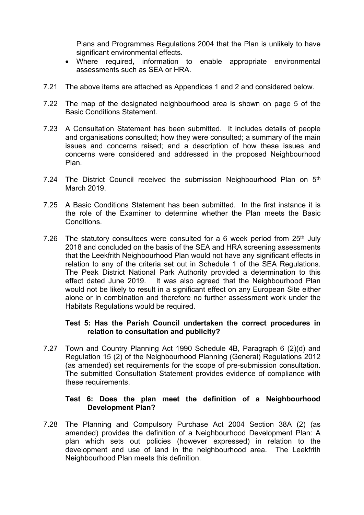Plans and Programmes Regulations 2004 that the Plan is unlikely to have significant environmental effects.

- Where required, information to enable appropriate environmental assessments such as SEA or HRA.
- 7.21 The above items are attached as Appendices 1 and 2 and considered below.
- 7.22 The map of the designated neighbourhood area is shown on page 5 of the Basic Conditions Statement.
- 7.23 A Consultation Statement has been submitted. It includes details of people and organisations consulted; how they were consulted; a summary of the main issues and concerns raised; and a description of how these issues and concerns were considered and addressed in the proposed Neighbourhood Plan.
- 7.24 The District Council received the submission Neighbourhood Plan on 5<sup>th</sup> March 2019.
- 7.25 A Basic Conditions Statement has been submitted. In the first instance it is the role of the Examiner to determine whether the Plan meets the Basic Conditions.
- 7.26 The statutory consultees were consulted for a 6 week period from  $25<sup>th</sup>$  July 2018 and concluded on the basis of the SEA and HRA screening assessments that the Leekfrith Neighbourhood Plan would not have any significant effects in relation to any of the criteria set out in Schedule 1 of the SEA Regulations. The Peak District National Park Authority provided a determination to this effect dated June 2019. It was also agreed that the Neighbourhood Plan would not be likely to result in a significant effect on any European Site either alone or in combination and therefore no further assessment work under the Habitats Regulations would be required.

## **Test 5: Has the Parish Council undertaken the correct procedures in relation to consultation and publicity?**

7.27 Town and Country Planning Act 1990 Schedule 4B, Paragraph 6 (2)(d) and Regulation 15 (2) of the Neighbourhood Planning (General) Regulations 2012 (as amended) set requirements for the scope of pre-submission consultation. The submitted Consultation Statement provides evidence of compliance with these requirements.

### **Test 6: Does the plan meet the definition of a Neighbourhood Development Plan?**

7.28 The Planning and Compulsory Purchase Act 2004 Section 38A (2) (as amended) provides the definition of a Neighbourhood Development Plan: A plan which sets out policies (however expressed) in relation to the development and use of land in the neighbourhood area. The Leekfrith Neighbourhood Plan meets this definition.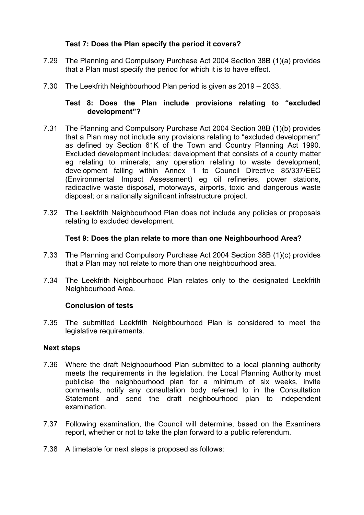# **Test 7: Does the Plan specify the period it covers?**

- 7.29 The Planning and Compulsory Purchase Act 2004 Section 38B (1)(a) provides that a Plan must specify the period for which it is to have effect.
- 7.30 The Leekfrith Neighbourhood Plan period is given as 2019 2033.

# **Test 8: Does the Plan include provisions relating to "excluded development"?**

- 7.31 The Planning and Compulsory Purchase Act 2004 Section 38B (1)(b) provides that a Plan may not include any provisions relating to "excluded development" as defined by Section 61K of the Town and Country Planning Act 1990. Excluded development includes: development that consists of a county matter eg relating to minerals; any operation relating to waste development; development falling within Annex 1 to Council Directive 85/337/EEC (Environmental Impact Assessment) eg oil refineries, power stations, radioactive waste disposal, motorways, airports, toxic and dangerous waste disposal; or a nationally significant infrastructure project.
- 7.32 The Leekfrith Neighbourhood Plan does not include any policies or proposals relating to excluded development.

## **Test 9: Does the plan relate to more than one Neighbourhood Area?**

- 7.33 The Planning and Compulsory Purchase Act 2004 Section 38B (1)(c) provides that a Plan may not relate to more than one neighbourhood area.
- 7.34 The Leekfrith Neighbourhood Plan relates only to the designated Leekfrith Neighbourhood Area.

## **Conclusion of tests**

7.35 The submitted Leekfrith Neighbourhood Plan is considered to meet the legislative requirements.

#### **Next steps**

- 7.36 Where the draft Neighbourhood Plan submitted to a local planning authority meets the requirements in the legislation, the Local Planning Authority must publicise the neighbourhood plan for a minimum of six weeks, invite comments, notify any consultation body referred to in the Consultation Statement and send the draft neighbourhood plan to independent examination.
- 7.37 Following examination, the Council will determine, based on the Examiners report, whether or not to take the plan forward to a public referendum.
- 7.38 A timetable for next steps is proposed as follows: